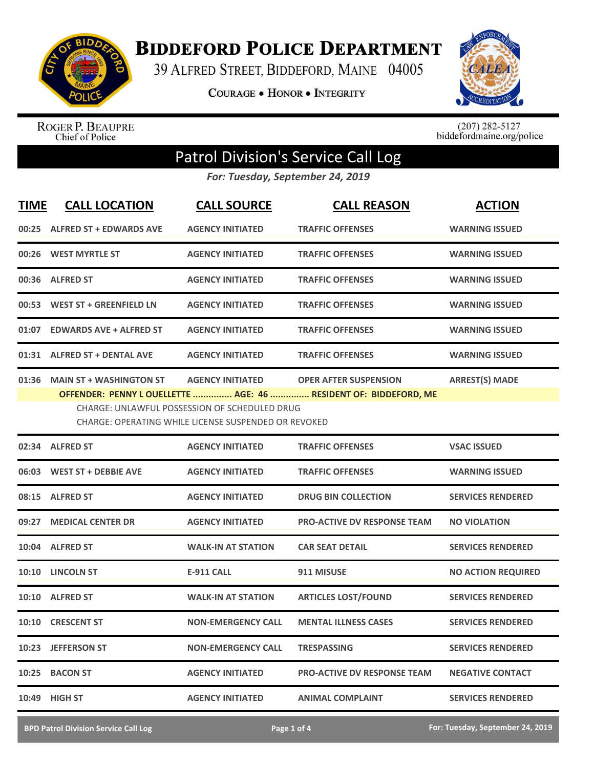

**BIDDEFORD POLICE DEPARTMENT** 

39 ALFRED STREET, BIDDEFORD, MAINE 04005

**COURAGE . HONOR . INTEGRITY** 



ROGER P. BEAUPRE<br>Chief of Police

 $(207)$  282-5127<br>biddefordmaine.org/police

## Patrol Division's Service Call Log

*For: Tuesday, September 24, 2019*

| <b>TIME</b> | <b>CALL LOCATION</b>                                                                                                                                                                                                                                                                                  | <b>CALL SOURCE</b>        | <b>CALL REASON</b>                 | <b>ACTION</b>             |  |
|-------------|-------------------------------------------------------------------------------------------------------------------------------------------------------------------------------------------------------------------------------------------------------------------------------------------------------|---------------------------|------------------------------------|---------------------------|--|
|             | 00:25 ALFRED ST + EDWARDS AVE                                                                                                                                                                                                                                                                         | <b>AGENCY INITIATED</b>   | <b>TRAFFIC OFFENSES</b>            | <b>WARNING ISSUED</b>     |  |
| 00:26       | <b>WEST MYRTLE ST</b>                                                                                                                                                                                                                                                                                 | <b>AGENCY INITIATED</b>   | <b>TRAFFIC OFFENSES</b>            | <b>WARNING ISSUED</b>     |  |
|             | 00:36 ALFRED ST                                                                                                                                                                                                                                                                                       | <b>AGENCY INITIATED</b>   | <b>TRAFFIC OFFENSES</b>            | <b>WARNING ISSUED</b>     |  |
|             | 00:53 WEST ST + GREENFIELD LN                                                                                                                                                                                                                                                                         | <b>AGENCY INITIATED</b>   | <b>TRAFFIC OFFENSES</b>            | <b>WARNING ISSUED</b>     |  |
|             | 01:07 EDWARDS AVE + ALFRED ST                                                                                                                                                                                                                                                                         | <b>AGENCY INITIATED</b>   | <b>TRAFFIC OFFENSES</b>            | <b>WARNING ISSUED</b>     |  |
|             | 01:31 ALFRED ST + DENTAL AVE                                                                                                                                                                                                                                                                          | <b>AGENCY INITIATED</b>   | <b>TRAFFIC OFFENSES</b>            | <b>WARNING ISSUED</b>     |  |
| 01:36       | <b>MAIN ST + WASHINGTON ST</b><br><b>AGENCY INITIATED</b><br><b>ARREST(S) MADE</b><br><b>OPER AFTER SUSPENSION</b><br>OFFENDER: PENNY LOUELLETTE  AGE: 46  RESIDENT OF: BIDDEFORD, ME<br><b>CHARGE: UNLAWFUL POSSESSION OF SCHEDULED DRUG</b><br>CHARGE: OPERATING WHILE LICENSE SUSPENDED OR REVOKED |                           |                                    |                           |  |
|             | 02:34 ALFRED ST                                                                                                                                                                                                                                                                                       | <b>AGENCY INITIATED</b>   | <b>TRAFFIC OFFENSES</b>            | <b>VSAC ISSUED</b>        |  |
|             | 06:03 WEST ST + DEBBIE AVE                                                                                                                                                                                                                                                                            | <b>AGENCY INITIATED</b>   | <b>TRAFFIC OFFENSES</b>            | <b>WARNING ISSUED</b>     |  |
|             | 08:15 ALFRED ST                                                                                                                                                                                                                                                                                       | <b>AGENCY INITIATED</b>   | <b>DRUG BIN COLLECTION</b>         | <b>SERVICES RENDERED</b>  |  |
|             | 09:27 MEDICAL CENTER DR                                                                                                                                                                                                                                                                               | <b>AGENCY INITIATED</b>   | <b>PRO-ACTIVE DV RESPONSE TEAM</b> | <b>NO VIOLATION</b>       |  |
|             | 10:04 ALFRED ST                                                                                                                                                                                                                                                                                       | <b>WALK-IN AT STATION</b> | <b>CAR SEAT DETAIL</b>             | <b>SERVICES RENDERED</b>  |  |
|             | 10:10 LINCOLN ST                                                                                                                                                                                                                                                                                      | <b>E-911 CALL</b>         | 911 MISUSE                         | <b>NO ACTION REQUIRED</b> |  |
|             | 10:10 ALFRED ST                                                                                                                                                                                                                                                                                       | <b>WALK-IN AT STATION</b> | <b>ARTICLES LOST/FOUND</b>         | <b>SERVICES RENDERED</b>  |  |
|             | 10:10 CRESCENT ST                                                                                                                                                                                                                                                                                     | <b>NON-EMERGENCY CALL</b> | <b>MENTAL ILLNESS CASES</b>        | <b>SERVICES RENDERED</b>  |  |
|             | 10:23 JEFFERSON ST                                                                                                                                                                                                                                                                                    | <b>NON-EMERGENCY CALL</b> | <b>TRESPASSING</b>                 | <b>SERVICES RENDERED</b>  |  |
|             | 10:25 BACON ST                                                                                                                                                                                                                                                                                        | <b>AGENCY INITIATED</b>   | <b>PRO-ACTIVE DV RESPONSE TEAM</b> | <b>NEGATIVE CONTACT</b>   |  |
| 10:49       | <b>HIGH ST</b>                                                                                                                                                                                                                                                                                        | <b>AGENCY INITIATED</b>   | <b>ANIMAL COMPLAINT</b>            | <b>SERVICES RENDERED</b>  |  |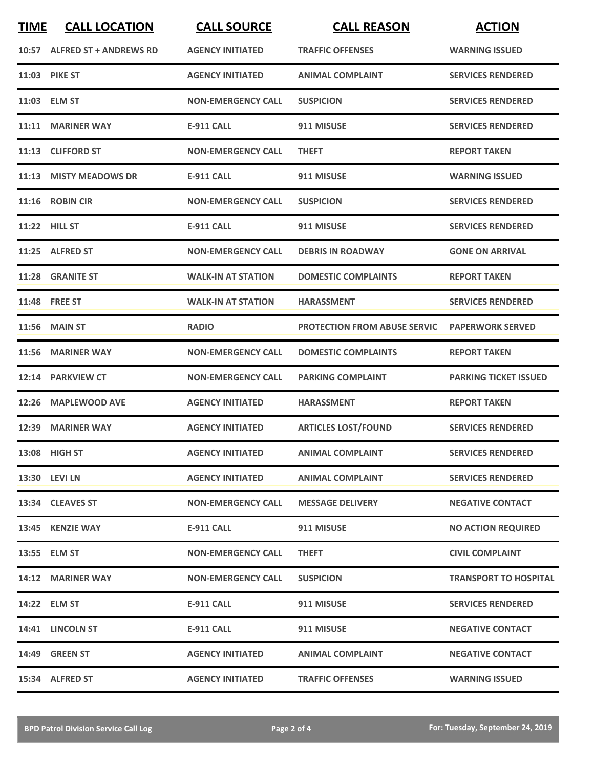| <b>TIME</b> | <b>CALL LOCATION</b>         | <b>CALL SOURCE</b>        | <b>CALL REASON</b>                  | <b>ACTION</b>                |
|-------------|------------------------------|---------------------------|-------------------------------------|------------------------------|
|             | 10:57 ALFRED ST + ANDREWS RD | <b>AGENCY INITIATED</b>   | <b>TRAFFIC OFFENSES</b>             | <b>WARNING ISSUED</b>        |
|             | <b>11:03 PIKE ST</b>         | <b>AGENCY INITIATED</b>   | <b>ANIMAL COMPLAINT</b>             | <b>SERVICES RENDERED</b>     |
|             | 11:03 ELM ST                 | <b>NON-EMERGENCY CALL</b> | <b>SUSPICION</b>                    | <b>SERVICES RENDERED</b>     |
|             | 11:11 MARINER WAY            | <b>E-911 CALL</b>         | 911 MISUSE                          | <b>SERVICES RENDERED</b>     |
|             | 11:13 CLIFFORD ST            | <b>NON-EMERGENCY CALL</b> | <b>THEFT</b>                        | <b>REPORT TAKEN</b>          |
|             | 11:13 MISTY MEADOWS DR       | <b>E-911 CALL</b>         | 911 MISUSE                          | <b>WARNING ISSUED</b>        |
|             | 11:16 ROBIN CIR              | <b>NON-EMERGENCY CALL</b> | <b>SUSPICION</b>                    | <b>SERVICES RENDERED</b>     |
|             | 11:22 HILL ST                | <b>E-911 CALL</b>         | 911 MISUSE                          | <b>SERVICES RENDERED</b>     |
|             | 11:25 ALFRED ST              | <b>NON-EMERGENCY CALL</b> | <b>DEBRIS IN ROADWAY</b>            | <b>GONE ON ARRIVAL</b>       |
|             | 11:28 GRANITE ST             | <b>WALK-IN AT STATION</b> | <b>DOMESTIC COMPLAINTS</b>          | <b>REPORT TAKEN</b>          |
|             | 11:48 FREE ST                | <b>WALK-IN AT STATION</b> | <b>HARASSMENT</b>                   | <b>SERVICES RENDERED</b>     |
|             | <b>11:56 MAIN ST</b>         | <b>RADIO</b>              | <b>PROTECTION FROM ABUSE SERVIC</b> | <b>PAPERWORK SERVED</b>      |
|             | 11:56 MARINER WAY            | <b>NON-EMERGENCY CALL</b> | <b>DOMESTIC COMPLAINTS</b>          | <b>REPORT TAKEN</b>          |
|             | 12:14 PARKVIEW CT            | <b>NON-EMERGENCY CALL</b> | <b>PARKING COMPLAINT</b>            | <b>PARKING TICKET ISSUED</b> |
| 12:26       | <b>MAPLEWOOD AVE</b>         | <b>AGENCY INITIATED</b>   | <b>HARASSMENT</b>                   | <b>REPORT TAKEN</b>          |
|             | 12:39 MARINER WAY            | <b>AGENCY INITIATED</b>   | <b>ARTICLES LOST/FOUND</b>          | <b>SERVICES RENDERED</b>     |
|             | 13:08 HIGH ST                | <b>AGENCY INITIATED</b>   | <b>ANIMAL COMPLAINT</b>             | <b>SERVICES RENDERED</b>     |
|             | 13:30 LEVI LN                | <b>AGENCY INITIATED</b>   | <b>ANIMAL COMPLAINT</b>             | <b>SERVICES RENDERED</b>     |
|             | 13:34 CLEAVES ST             | <b>NON-EMERGENCY CALL</b> | <b>MESSAGE DELIVERY</b>             | <b>NEGATIVE CONTACT</b>      |
|             | 13:45 KENZIE WAY             | E-911 CALL                | 911 MISUSE                          | <b>NO ACTION REQUIRED</b>    |
|             | 13:55 ELM ST                 | <b>NON-EMERGENCY CALL</b> | <b>THEFT</b>                        | <b>CIVIL COMPLAINT</b>       |
|             | 14:12 MARINER WAY            | <b>NON-EMERGENCY CALL</b> | <b>SUSPICION</b>                    | <b>TRANSPORT TO HOSPITAL</b> |
|             | 14:22 ELM ST                 | E-911 CALL                | 911 MISUSE                          | <b>SERVICES RENDERED</b>     |
|             | 14:41 LINCOLN ST             | <b>E-911 CALL</b>         | 911 MISUSE                          | <b>NEGATIVE CONTACT</b>      |
|             | <b>14:49 GREEN ST</b>        | <b>AGENCY INITIATED</b>   | <b>ANIMAL COMPLAINT</b>             | <b>NEGATIVE CONTACT</b>      |
|             | 15:34 ALFRED ST              | <b>AGENCY INITIATED</b>   | <b>TRAFFIC OFFENSES</b>             | <b>WARNING ISSUED</b>        |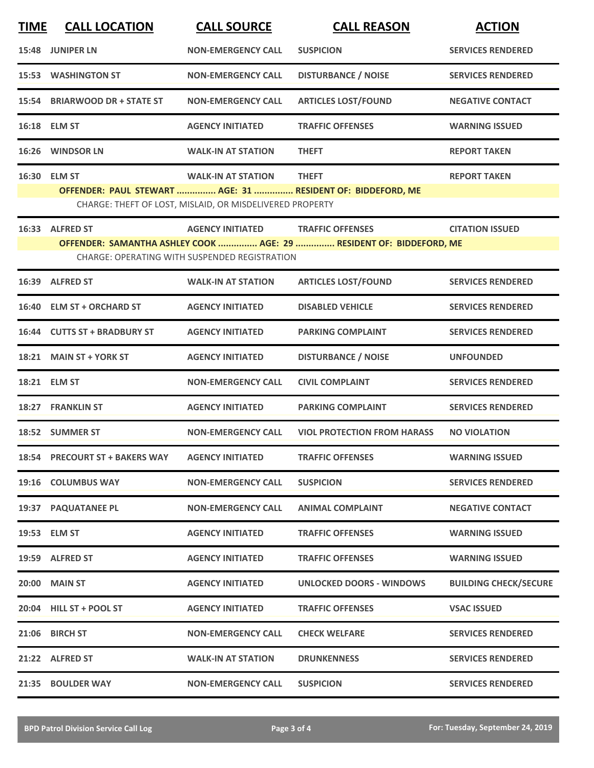| <b>TIME</b> | <b>CALL LOCATION</b>           | <b>CALL SOURCE</b>                                       | <b>CALL REASON</b>                                                  | <b>ACTION</b>                |
|-------------|--------------------------------|----------------------------------------------------------|---------------------------------------------------------------------|------------------------------|
|             | 15:48 JUNIPER LN               | <b>NON-EMERGENCY CALL</b>                                | <b>SUSPICION</b>                                                    | <b>SERVICES RENDERED</b>     |
|             | <b>15:53 WASHINGTON ST</b>     | <b>NON-EMERGENCY CALL</b>                                | <b>DISTURBANCE / NOISE</b>                                          | <b>SERVICES RENDERED</b>     |
|             | 15:54 BRIARWOOD DR + STATE ST  | <b>NON-EMERGENCY CALL</b>                                | <b>ARTICLES LOST/FOUND</b>                                          | <b>NEGATIVE CONTACT</b>      |
|             | 16:18 ELM ST                   | <b>AGENCY INITIATED</b>                                  | <b>TRAFFIC OFFENSES</b>                                             | <b>WARNING ISSUED</b>        |
|             | 16:26 WINDSOR LN               | <b>WALK-IN AT STATION</b>                                | <b>THEFT</b>                                                        | <b>REPORT TAKEN</b>          |
|             | 16:30 ELM ST                   | <b>WALK-IN AT STATION</b>                                | <b>THEFT</b>                                                        | <b>REPORT TAKEN</b>          |
|             |                                | CHARGE: THEFT OF LOST, MISLAID, OR MISDELIVERED PROPERTY | OFFENDER: PAUL STEWART  AGE: 31  RESIDENT OF: BIDDEFORD, ME         |                              |
|             | 16:33 ALFRED ST                | <b>AGENCY INITIATED</b>                                  | <b>TRAFFIC OFFENSES</b>                                             | <b>CITATION ISSUED</b>       |
|             |                                | CHARGE: OPERATING WITH SUSPENDED REGISTRATION            | OFFENDER: SAMANTHA ASHLEY COOK  AGE: 29  RESIDENT OF: BIDDEFORD, ME |                              |
|             | 16:39 ALFRED ST                | <b>WALK-IN AT STATION</b>                                | <b>ARTICLES LOST/FOUND</b>                                          | <b>SERVICES RENDERED</b>     |
|             | 16:40 ELM ST + ORCHARD ST      | <b>AGENCY INITIATED</b>                                  | <b>DISABLED VEHICLE</b>                                             | <b>SERVICES RENDERED</b>     |
|             | 16:44 CUTTS ST + BRADBURY ST   | <b>AGENCY INITIATED</b>                                  | <b>PARKING COMPLAINT</b>                                            | <b>SERVICES RENDERED</b>     |
| 18:21       | <b>MAIN ST + YORK ST</b>       | <b>AGENCY INITIATED</b>                                  | <b>DISTURBANCE / NOISE</b>                                          | <b>UNFOUNDED</b>             |
|             | 18:21 ELM ST                   | <b>NON-EMERGENCY CALL</b>                                | <b>CIVIL COMPLAINT</b>                                              | <b>SERVICES RENDERED</b>     |
|             | 18:27 FRANKLIN ST              | <b>AGENCY INITIATED</b>                                  | <b>PARKING COMPLAINT</b>                                            | <b>SERVICES RENDERED</b>     |
|             | 18:52 SUMMER ST                | <b>NON-EMERGENCY CALL</b>                                | <b>VIOL PROTECTION FROM HARASS</b>                                  | <b>NO VIOLATION</b>          |
|             | 18:54 PRECOURT ST + BAKERS WAY | <b>AGENCY INITIATED</b>                                  | <b>TRAFFIC OFFENSES</b>                                             | <b>WARNING ISSUED</b>        |
|             | 19:16 COLUMBUS WAY             | <b>NON-EMERGENCY CALL</b>                                | <b>SUSPICION</b>                                                    | <b>SERVICES RENDERED</b>     |
|             | <b>19:37 PAQUATANEE PL</b>     | <b>NON-EMERGENCY CALL</b>                                | <b>ANIMAL COMPLAINT</b>                                             | <b>NEGATIVE CONTACT</b>      |
|             | 19:53 ELM ST                   | <b>AGENCY INITIATED</b>                                  | <b>TRAFFIC OFFENSES</b>                                             | <b>WARNING ISSUED</b>        |
|             | 19:59 ALFRED ST                | <b>AGENCY INITIATED</b>                                  | <b>TRAFFIC OFFENSES</b>                                             | <b>WARNING ISSUED</b>        |
|             | 20:00 MAIN ST                  | <b>AGENCY INITIATED</b>                                  | <b>UNLOCKED DOORS - WINDOWS</b>                                     | <b>BUILDING CHECK/SECURE</b> |
|             | 20:04 HILL ST + POOL ST        | <b>AGENCY INITIATED</b>                                  | <b>TRAFFIC OFFENSES</b>                                             | <b>VSAC ISSUED</b>           |
| 21:06       | <b>BIRCH ST</b>                | <b>NON-EMERGENCY CALL</b>                                | <b>CHECK WELFARE</b>                                                | <b>SERVICES RENDERED</b>     |
|             | 21:22 ALFRED ST                | <b>WALK-IN AT STATION</b>                                | <b>DRUNKENNESS</b>                                                  | <b>SERVICES RENDERED</b>     |
|             | 21:35 BOULDER WAY              | <b>NON-EMERGENCY CALL</b>                                | <b>SUSPICION</b>                                                    | <b>SERVICES RENDERED</b>     |